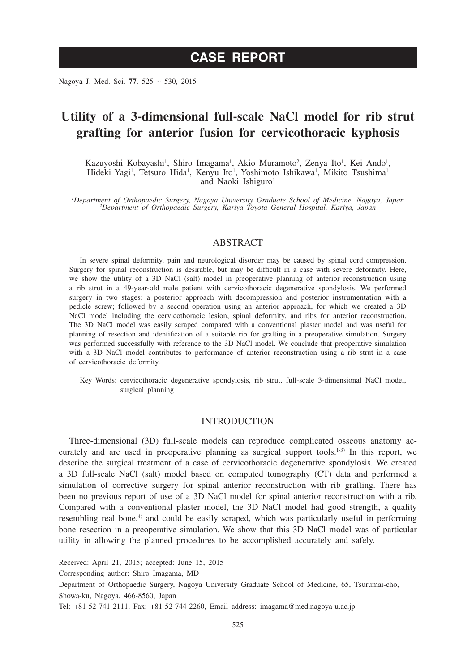# **CASE REPORT**

Nagoya J. Med. Sci. **77**. 525 ~ 530, 2015

## **Utility of a 3-dimensional full-scale NaCl model for rib strut grafting for anterior fusion for cervicothoracic kyphosis**

Kazuyoshi Kobayashi<sup>1</sup>, Shiro Imagama<sup>1</sup>, Akio Muramoto<sup>2</sup>, Zenya Ito<sup>1</sup>, Kei Ando<sup>1</sup>, Hideki Yagi<sup>1</sup>, Tetsuro Hida<sup>1</sup>, Kenyu Ito<sup>1</sup>, Yoshimoto Ishikawa<sup>1</sup>, Mikito Tsushima<sup>1</sup> and Naoki Ishiguro<sup>1</sup>

*1 Department of Orthopaedic Surgery, Nagoya University Graduate School of Medicine, Nagoya, Japan <sup>2</sup> Department of Orthopaedic Surgery, Kariya Toyota General Hospital, Kariya, Japan*

#### ABSTRACT

In severe spinal deformity, pain and neurological disorder may be caused by spinal cord compression. Surgery for spinal reconstruction is desirable, but may be difficult in a case with severe deformity. Here, we show the utility of a 3D NaCl (salt) model in preoperative planning of anterior reconstruction using a rib strut in a 49-year-old male patient with cervicothoracic degenerative spondylosis. We performed surgery in two stages: a posterior approach with decompression and posterior instrumentation with a pedicle screw; followed by a second operation using an anterior approach, for which we created a 3D NaCl model including the cervicothoracic lesion, spinal deformity, and ribs for anterior reconstruction. The 3D NaCl model was easily scraped compared with a conventional plaster model and was useful for planning of resection and identification of a suitable rib for grafting in a preoperative simulation. Surgery was performed successfully with reference to the 3D NaCl model. We conclude that preoperative simulation with a 3D NaCl model contributes to performance of anterior reconstruction using a rib strut in a case of cervicothoracic deformity.

Key Words: cervicothoracic degenerative spondylosis, rib strut, full-scale 3-dimensional NaCl model, surgical planning

#### **INTRODUCTION**

Three-dimensional (3D) full-scale models can reproduce complicated osseous anatomy accurately and are used in preoperative planning as surgical support tools.<sup>1-3)</sup> In this report, we describe the surgical treatment of a case of cervicothoracic degenerative spondylosis. We created a 3D full-scale NaCl (salt) model based on computed tomography (CT) data and performed a simulation of corrective surgery for spinal anterior reconstruction with rib grafting. There has been no previous report of use of a 3D NaCl model for spinal anterior reconstruction with a rib. Compared with a conventional plaster model, the 3D NaCl model had good strength, a quality resembling real bone, $\phi$  and could be easily scraped, which was particularly useful in performing bone resection in a preoperative simulation. We show that this 3D NaCl model was of particular utility in allowing the planned procedures to be accomplished accurately and safely.

Corresponding author: Shiro Imagama, MD

Received: April 21, 2015; accepted: June 15, 2015

Department of Orthopaedic Surgery, Nagoya University Graduate School of Medicine, 65, Tsurumai-cho, Showa-ku, Nagoya, 466-8560, Japan

Tel: +81-52-741-2111, Fax: +81-52-744-2260, Email address: imagama@med.nagoya-u.ac.jp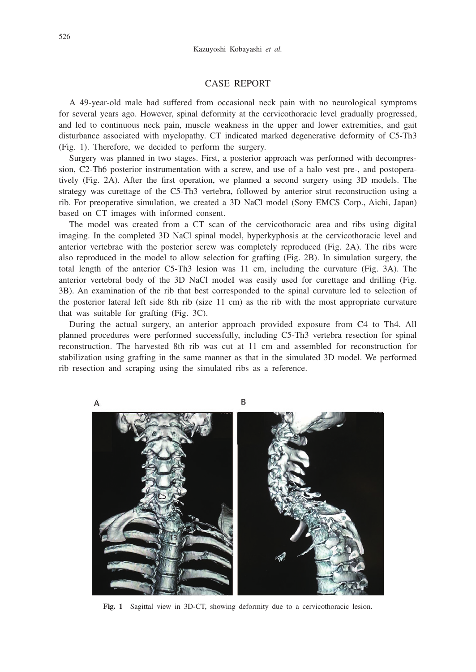#### CASE REPORT

A 49-year-old male had suffered from occasional neck pain with no neurological symptoms for several years ago. However, spinal deformity at the cervicothoracic level gradually progressed, and led to continuous neck pain, muscle weakness in the upper and lower extremities, and gait disturbance associated with myelopathy. CT indicated marked degenerative deformity of C5-Th3 (Fig. 1). Therefore, we decided to perform the surgery.

Surgery was planned in two stages. First, a posterior approach was performed with decompression, C2-Th6 posterior instrumentation with a screw, and use of a halo vest pre-, and postoperatively (Fig. 2A). After the first operation, we planned a second surgery using 3D models. The strategy was curettage of the C5-Th3 vertebra, followed by anterior strut reconstruction using a rib. For preoperative simulation, we created a 3D NaCl model (Sony EMCS Corp., Aichi, Japan) based on CT images with informed consent.

The model was created from a CT scan of the cervicothoracic area and ribs using digital imaging. In the completed 3D NaCl spinal model, hyperkyphosis at the cervicothoracic level and anterior vertebrae with the posterior screw was completely reproduced (Fig. 2A). The ribs were also reproduced in the model to allow selection for grafting (Fig. 2B). In simulation surgery, the total length of the anterior C5-Th3 lesion was 11 cm, including the curvature (Fig. 3A). The anterior vertebral body of the 3D NaCl modeI was easily used for curettage and drilling (Fig. 3B). An examination of the rib that best corresponded to the spinal curvature led to selection of the posterior lateral left side 8th rib (size 11 cm) as the rib with the most appropriate curvature that was suitable for grafting (Fig. 3C).

During the actual surgery, an anterior approach provided exposure from C4 to Th4. All planned procedures were performed successfully, including C5-Th3 vertebra resection for spinal reconstruction. The harvested 8th rib was cut at 11 cm and assembled for reconstruction for stabilization using grafting in the same manner as that in the simulated 3D model. We performed rib resection and scraping using the simulated ribs as a reference.



**Fig. 1** Sagittal view in 3D-CT, showing deformity due to a cervicothoracic lesion.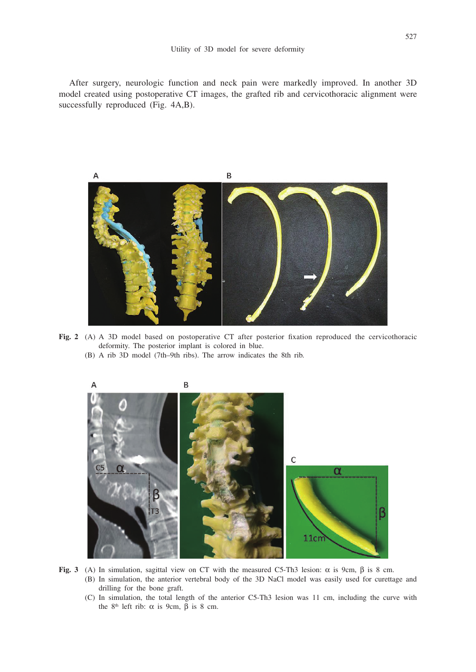After surgery, neurologic function and neck pain were markedly improved. In another 3D model created using postoperative CT images, the grafted rib and cervicothoracic alignment were successfully reproduced (Fig. 4A,B).



**Fig. 2** (A) A 3D model based on postoperative CT after posterior fixation reproduced the cervicothoracic deformity. The posterior implant is colored in blue.





- Fig. 3 (A) In simulation, sagittal view on CT with the measured C5-Th3 lesion:  $\alpha$  is 9cm,  $\beta$  is 8 cm.
	- (B) In simulation, the anterior vertebral body of the 3D NaCl modeI was easily used for curettage and drilling for the bone graft.
	- (C) In simulation, the total length of the anterior C5-Th3 lesion was 11 cm, including the curve with the  $8<sup>th</sup>$  left rib:  $\alpha$  is 9cm,  $\beta$  is 8 cm.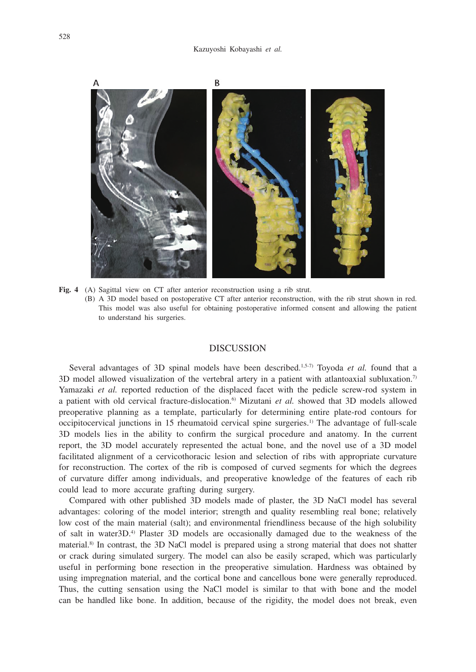

**Fig. 4** (A) Sagittal view on CT after anterior reconstruction using a rib strut. (B) A 3D model based on postoperative CT after anterior reconstruction, with the rib strut shown in red. This model was also useful for obtaining postoperative informed consent and allowing the patient to understand his surgeries.

### DISCUSSION

Several advantages of 3D spinal models have been described.<sup>1,5-7)</sup> Toyoda *et al.* found that a 3D model allowed visualization of the vertebral artery in a patient with atlantoaxial subluxation.<sup>7)</sup> Yamazaki *et al.* reported reduction of the displaced facet with the pedicle screw-rod system in a patient with old cervical fracture-dislocation.6) Mizutani *et al.* showed that 3D models allowed preoperative planning as a template, particularly for determining entire plate-rod contours for occipitocervical junctions in 15 rheumatoid cervical spine surgeries.<sup>1)</sup> The advantage of full-scale 3D models lies in the ability to confirm the surgical procedure and anatomy. In the current report, the 3D model accurately represented the actual bone, and the novel use of a 3D model facilitated alignment of a cervicothoracic lesion and selection of ribs with appropriate curvature for reconstruction. The cortex of the rib is composed of curved segments for which the degrees of curvature differ among individuals, and preoperative knowledge of the features of each rib could lead to more accurate grafting during surgery.

Compared with other published 3D models made of plaster, the 3D NaCl model has several advantages: coloring of the model interior; strength and quality resembling real bone; relatively low cost of the main material (salt); and environmental friendliness because of the high solubility of salt in water3D.4) Plaster 3D models are occasionally damaged due to the weakness of the material.<sup>8)</sup> In contrast, the 3D NaCl model is prepared using a strong material that does not shatter or crack during simulated surgery. The model can also be easily scraped, which was particularly useful in performing bone resection in the preoperative simulation. Hardness was obtained by using impregnation material, and the cortical bone and cancellous bone were generally reproduced. Thus, the cutting sensation using the NaCl model is similar to that with bone and the model can be handled like bone. In addition, because of the rigidity, the model does not break, even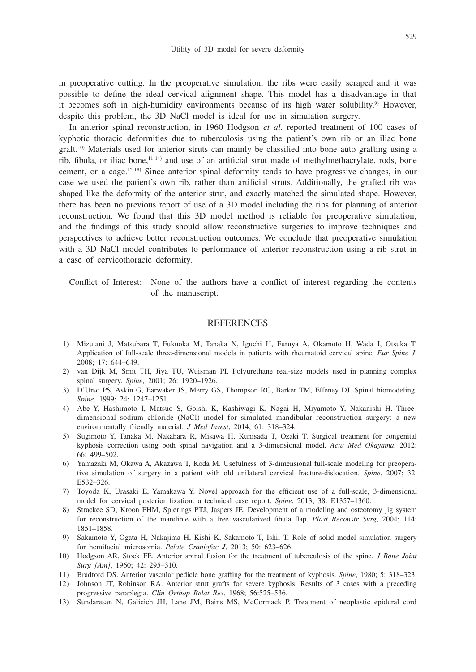529

in preoperative cutting. In the preoperative simulation, the ribs were easily scraped and it was possible to define the ideal cervical alignment shape. This model has a disadvantage in that it becomes soft in high-humidity environments because of its high water solubility.9) However, despite this problem, the 3D NaCl model is ideal for use in simulation surgery.

In anterior spinal reconstruction, in 1960 Hodgson *et al.* reported treatment of 100 cases of kyphotic thoracic deformities due to tuberculosis using the patient's own rib or an iliac bone graft.10) Materials used for anterior struts can mainly be classified into bone auto grafting using a rib, fibula, or iliac bone,<sup>11-14)</sup> and use of an artificial strut made of methylmethacrylate, rods, bone cement, or a cage.15-18) Since anterior spinal deformity tends to have progressive changes, in our case we used the patient's own rib, rather than artificial struts. Additionally, the grafted rib was shaped like the deformity of the anterior strut, and exactly matched the simulated shape. However, there has been no previous report of use of a 3D model including the ribs for planning of anterior reconstruction. We found that this 3D model method is reliable for preoperative simulation, and the findings of this study should allow reconstructive surgeries to improve techniques and perspectives to achieve better reconstruction outcomes. We conclude that preoperative simulation with a 3D NaCl model contributes to performance of anterior reconstruction using a rib strut in a case of cervicothoracic deformity.

Conflict of Interest: None of the authors have a conflict of interest regarding the contents of the manuscript.

#### REFERENCES

- 1) Mizutani J, Matsubara T, Fukuoka M, Tanaka N, Iguchi H, Furuya A, Okamoto H, Wada I, Otsuka T. Application of full-scale three-dimensional models in patients with rheumatoid cervical spine. *Eur Spine J*, 2008; 17: 644–649.
- 2) van Dijk M, Smit TH, Jiya TU, Wuisman PI. Polyurethane real-size models used in planning complex spinal surgery. *Spine*, 2001; 26: 1920–1926.
- 3) D'Urso PS, Askin G, Earwaker JS, Merry GS, Thompson RG, Barker TM, Effeney DJ. Spinal biomodeling. *Spine*, 1999; 24: 1247–1251.
- 4) Abe Y, Hashimoto I, Matsuo S, Goishi K, Kashiwagi K, Nagai H, Miyamoto Y, Nakanishi H. Threedimensional sodium chloride (NaCl) model for simulated mandibular reconstruction surgery: a new environmentally friendly material. *J Med Invest*, 2014; 61: 318–324.
- 5) Sugimoto Y, Tanaka M, Nakahara R, Misawa H, Kunisada T, Ozaki T. Surgical treatment for congenital kyphosis correction using both spinal navigation and a 3-dimensional model. *Acta Med Okayama*, 2012; 66: 499–502.
- 6) Yamazaki M, Okawa A, Akazawa T, Koda M. Usefulness of 3-dimensional full-scale modeling for preoperative simulation of surgery in a patient with old unilateral cervical fracture-dislocation. *Spine*, 2007; 32: E532–326.
- 7) Toyoda K, Urasaki E, Yamakawa Y. Novel approach for the efficient use of a full-scale, 3-dimensional model for cervical posterior fixation: a technical case report. *Spine*, 2013; 38: E1357–1360.
- 8) Strackee SD, Kroon FHM, Spierings PTJ, Jaspers JE. Development of a modeling and osteotomy jig system for reconstruction of the mandible with a free vascularized fibula flap. *Plast Reconstr Surg*, 2004; 114: 1851–1858.
- 9) Sakamoto Y, Ogata H, Nakajima H, Kishi K, Sakamoto T, Ishii T. Role of solid model simulation surgery for hemifacial microsomia. *Palate Craniofac J*, 2013; 50: 623–626.
- 10) Hodgson AR, Stock FE. Anterior spinal fusion for the treatment of tuberculosis of the spine. *J Bone Joint Surg [Am]*, 1960; 42: 295–310.
- 11) Bradford DS. Anterior vascular pedicle bone grafting for the treatment of kyphosis. *Spine*, 1980; 5: 318–323.
- 12) Johnson JT, Robinson RA. Anterior strut grafts for severe kyphosis. Results of 3 cases with a preceding progressive paraplegia. *Clin Orthop Relat Res*, 1968; 56:525–536.
- 13) Sundaresan N, Galicich JH, Lane JM, Bains MS, McCormack P. Treatment of neoplastic epidural cord